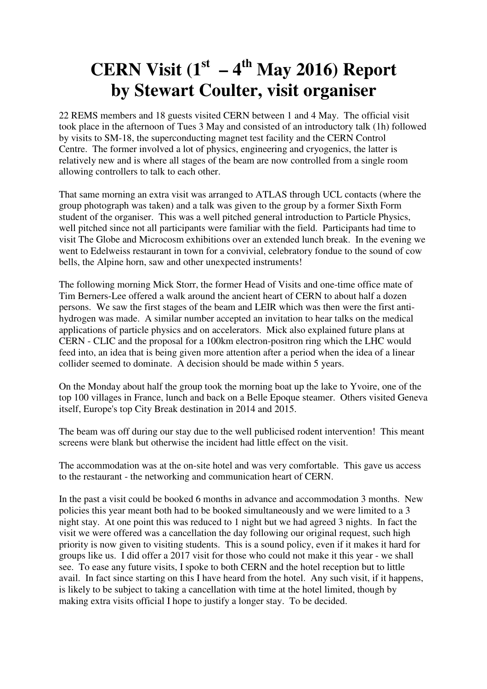## **CERN Visit (1<sup>st</sup> – 4<sup>th</sup> May 2016) Report by Stewart Coulter, visit organiser**

22 REMS members and 18 guests visited CERN between 1 and 4 May. The official visit took place in the afternoon of Tues 3 May and consisted of an introductory talk (1h) followed by visits to SM-18, the superconducting magnet test facility and the CERN Control Centre. The former involved a lot of physics, engineering and cryogenics, the latter is relatively new and is where all stages of the beam are now controlled from a single room allowing controllers to talk to each other.

That same morning an extra visit was arranged to ATLAS through UCL contacts (where the group photograph was taken) and a talk was given to the group by a former Sixth Form student of the organiser. This was a well pitched general introduction to Particle Physics, well pitched since not all participants were familiar with the field. Participants had time to visit The Globe and Microcosm exhibitions over an extended lunch break. In the evening we went to Edelweiss restaurant in town for a convivial, celebratory fondue to the sound of cow bells, the Alpine horn, saw and other unexpected instruments!

The following morning Mick Storr, the former Head of Visits and one-time office mate of Tim Berners-Lee offered a walk around the ancient heart of CERN to about half a dozen persons. We saw the first stages of the beam and LEIR which was then were the first antihydrogen was made. A similar number accepted an invitation to hear talks on the medical applications of particle physics and on accelerators. Mick also explained future plans at CERN - CLIC and the proposal for a 100km electron-positron ring which the LHC would feed into, an idea that is being given more attention after a period when the idea of a linear collider seemed to dominate. A decision should be made within 5 years.

On the Monday about half the group took the morning boat up the lake to Yvoire, one of the top 100 villages in France, lunch and back on a Belle Epoque steamer. Others visited Geneva itself, Europe's top City Break destination in 2014 and 2015.

The beam was off during our stay due to the well publicised rodent intervention! This meant screens were blank but otherwise the incident had little effect on the visit.

The accommodation was at the on-site hotel and was very comfortable. This gave us access to the restaurant - the networking and communication heart of CERN.

In the past a visit could be booked 6 months in advance and accommodation 3 months. New policies this year meant both had to be booked simultaneously and we were limited to a 3 night stay. At one point this was reduced to 1 night but we had agreed 3 nights. In fact the visit we were offered was a cancellation the day following our original request, such high priority is now given to visiting students. This is a sound policy, even if it makes it hard for groups like us. I did offer a 2017 visit for those who could not make it this year - we shall see. To ease any future visits, I spoke to both CERN and the hotel reception but to little avail. In fact since starting on this I have heard from the hotel. Any such visit, if it happens, is likely to be subject to taking a cancellation with time at the hotel limited, though by making extra visits official I hope to justify a longer stay. To be decided.